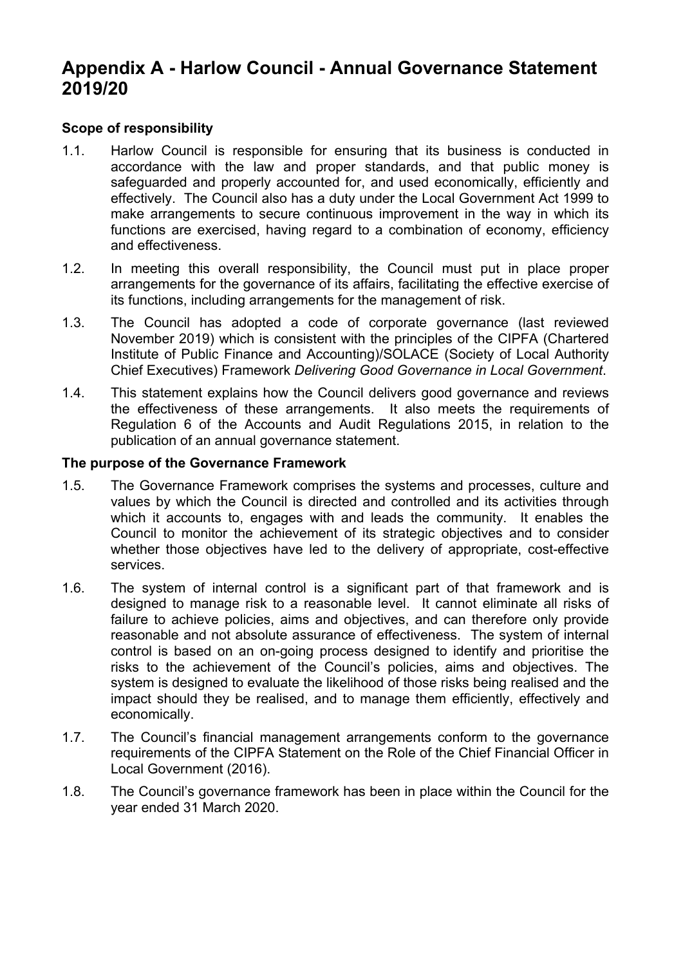# **Appendix A - Harlow Council - Annual Governance Statement 2019/20**

### **Scope of responsibility**

- 1.1. Harlow Council is responsible for ensuring that its business is conducted in accordance with the law and proper standards, and that public money is safeguarded and properly accounted for, and used economically, efficiently and effectively. The Council also has a duty under the Local Government Act 1999 to make arrangements to secure continuous improvement in the way in which its functions are exercised, having regard to a combination of economy, efficiency and effectiveness.
- 1.2. In meeting this overall responsibility, the Council must put in place proper arrangements for the governance of its affairs, facilitating the effective exercise of its functions, including arrangements for the management of risk.
- 1.3. The Council has adopted a code of corporate governance (last reviewed November 2019) which is consistent with the principles of the CIPFA (Chartered Institute of Public Finance and Accounting)/SOLACE (Society of Local Authority Chief Executives) Framework *Delivering Good Governance in Local Government*.
- 1.4. This statement explains how the Council delivers good governance and reviews the effectiveness of these arrangements. It also meets the requirements of Regulation 6 of the Accounts and Audit Regulations 2015, in relation to the publication of an annual governance statement.

#### **The purpose of the Governance Framework**

- 1.5. The Governance Framework comprises the systems and processes, culture and values by which the Council is directed and controlled and its activities through which it accounts to, engages with and leads the community. It enables the Council to monitor the achievement of its strategic objectives and to consider whether those objectives have led to the delivery of appropriate, cost-effective services.
- 1.6. The system of internal control is a significant part of that framework and is designed to manage risk to a reasonable level. It cannot eliminate all risks of failure to achieve policies, aims and objectives, and can therefore only provide reasonable and not absolute assurance of effectiveness. The system of internal control is based on an on-going process designed to identify and prioritise the risks to the achievement of the Council's policies, aims and objectives. The system is designed to evaluate the likelihood of those risks being realised and the impact should they be realised, and to manage them efficiently, effectively and economically.
- 1.7. The Council's financial management arrangements conform to the governance requirements of the CIPFA Statement on the Role of the Chief Financial Officer in Local Government (2016).
- 1.8. The Council's governance framework has been in place within the Council for the year ended 31 March 2020.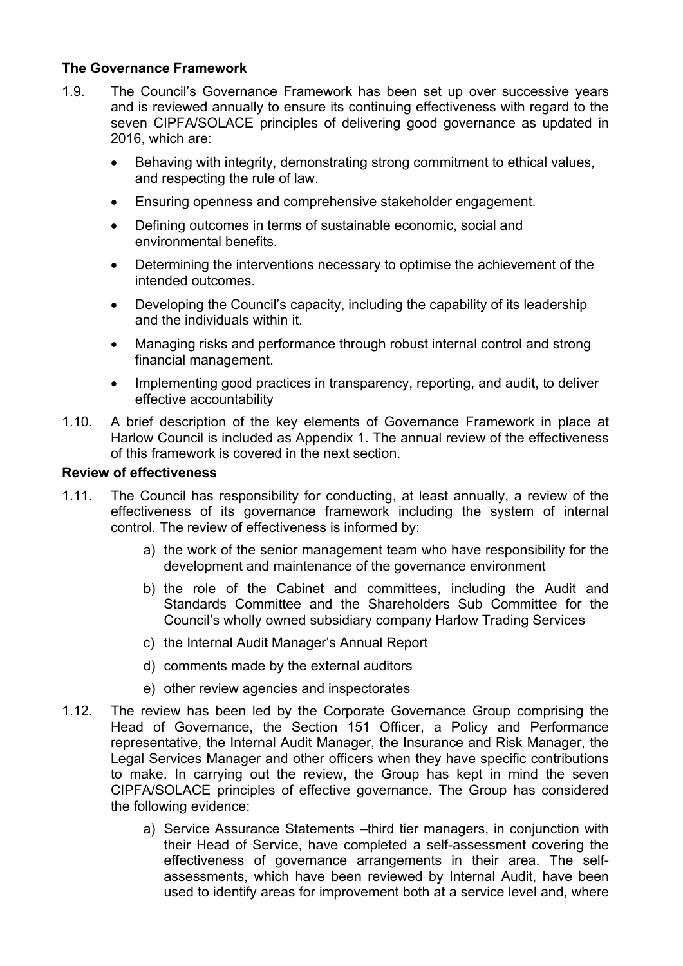## **The Governance Framework**

- 1.9. The Council's Governance Framework has been set up over successive years and is reviewed annually to ensure its continuing effectiveness with regard to the seven CIPFA/SOLACE principles of delivering good governance as updated in 2016, which are:
	- Behaving with integrity, demonstrating strong commitment to ethical values, and respecting the rule of law.
	- Ensuring openness and comprehensive stakeholder engagement.
	- Defining outcomes in terms of sustainable economic, social and environmental benefits.
	- Determining the interventions necessary to optimise the achievement of the intended outcomes.
	- Developing the Council's capacity, including the capability of its leadership and the individuals within it.
	- Managing risks and performance through robust internal control and strong financial management.
	- Implementing good practices in transparency, reporting, and audit, to deliver effective accountability
- 1.10. A brief description of the key elements of Governance Framework in place at Harlow Council is included as Appendix 1. The annual review of the effectiveness of this framework is covered in the next section.

### **Review of effectiveness**

- 1.11. The Council has responsibility for conducting, at least annually, a review of the effectiveness of its governance framework including the system of internal control. The review of effectiveness is informed by:
	- a) the work of the senior management team who have responsibility for the development and maintenance of the governance environment
	- b) the role of the Cabinet and committees, including the Audit and Standards Committee and the Shareholders Sub Committee for the Council's wholly owned subsidiary company Harlow Trading Services
	- c) the Internal Audit Manager's Annual Report
	- d) comments made by the external auditors
	- e) other review agencies and inspectorates
- 1.12. The review has been led by the Corporate Governance Group comprising the Head of Governance, the Section 151 Officer, a Policy and Performance representative, the Internal Audit Manager, the Insurance and Risk Manager, the Legal Services Manager and other officers when they have specific contributions to make. In carrying out the review, the Group has kept in mind the seven CIPFA/SOLACE principles of effective governance. The Group has considered the following evidence:
	- a) Service Assurance Statements –third tier managers, in conjunction with their Head of Service, have completed a self-assessment covering the effectiveness of governance arrangements in their area. The selfassessments, which have been reviewed by Internal Audit, have been used to identify areas for improvement both at a service level and, where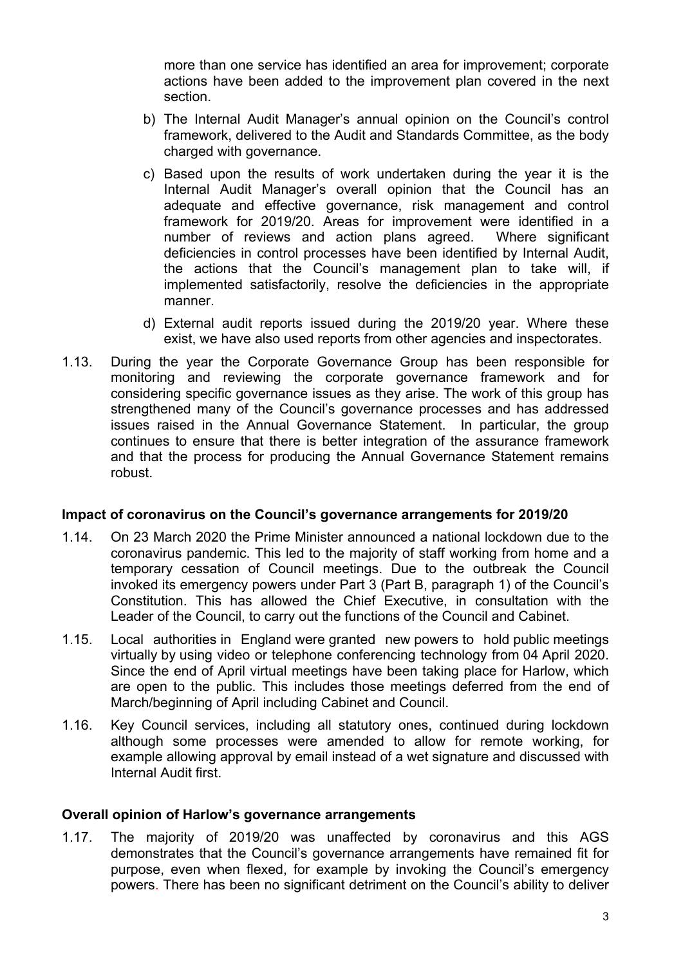more than one service has identified an area for improvement; corporate actions have been added to the improvement plan covered in the next section.

- b) The Internal Audit Manager's annual opinion on the Council's control framework, delivered to the Audit and Standards Committee, as the body charged with governance.
- c) Based upon the results of work undertaken during the year it is the Internal Audit Manager's overall opinion that the Council has an adequate and effective governance, risk management and control framework for 2019/20. Areas for improvement were identified in a number of reviews and action plans agreed. Where significant deficiencies in control processes have been identified by Internal Audit, the actions that the Council's management plan to take will, if implemented satisfactorily, resolve the deficiencies in the appropriate manner.
- d) External audit reports issued during the 2019/20 year. Where these exist, we have also used reports from other agencies and inspectorates.
- 1.13. During the year the Corporate Governance Group has been responsible for monitoring and reviewing the corporate governance framework and for considering specific governance issues as they arise. The work of this group has strengthened many of the Council's governance processes and has addressed issues raised in the Annual Governance Statement. In particular, the group continues to ensure that there is better integration of the assurance framework and that the process for producing the Annual Governance Statement remains robust.

#### **Impact of coronavirus on the Council's governance arrangements for 2019/20**

- 1.14. On 23 March 2020 the Prime Minister announced a national lockdown due to the coronavirus pandemic. This led to the majority of staff working from home and a temporary cessation of Council meetings. Due to the outbreak the Council invoked its emergency powers under Part 3 (Part B, paragraph 1) of the Council's Constitution. This has allowed the Chief Executive, in consultation with the Leader of the Council, to carry out the functions of the Council and Cabinet.
- 1.15. Local authorities in England were granted new powers to hold public meetings virtually by using video or telephone conferencing technology from 04 April 2020. Since the end of April virtual meetings have been taking place for Harlow, which are open to the public. This includes those meetings deferred from the end of March/beginning of April including Cabinet and Council.
- 1.16. Key Council services, including all statutory ones, continued during lockdown although some processes were amended to allow for remote working, for example allowing approval by email instead of a wet signature and discussed with Internal Audit first.

#### **Overall opinion of Harlow's governance arrangements**

1.17. The majority of 2019/20 was unaffected by coronavirus and this AGS demonstrates that the Council's governance arrangements have remained fit for purpose, even when flexed, for example by invoking the Council's emergency powers. There has been no significant detriment on the Council's ability to deliver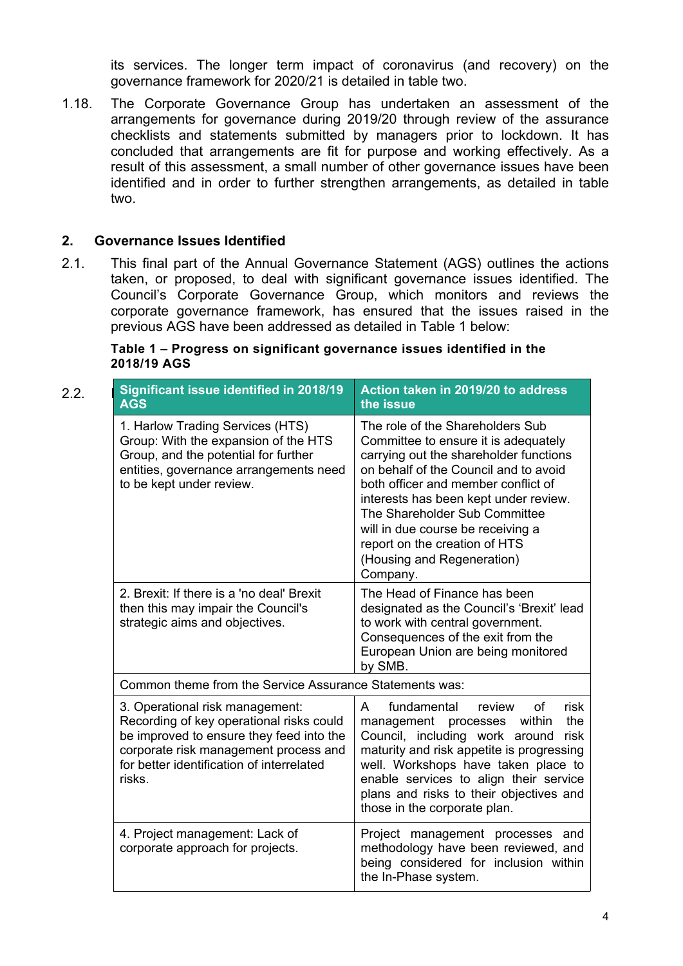its services. The longer term impact of coronavirus (and recovery) on the governance framework for 2020/21 is detailed in table two.

1.18. The Corporate Governance Group has undertaken an assessment of the arrangements for governance during 2019/20 through review of the assurance checklists and statements submitted by managers prior to lockdown. It has concluded that arrangements are fit for purpose and working effectively. As a result of this assessment, a small number of other governance issues have been identified and in order to further strengthen arrangements, as detailed in table two.

### **2. Governance Issues Identified**

2.1. This final part of the Annual Governance Statement (AGS) outlines the actions taken, or proposed, to deal with significant governance issues identified. The Council's Corporate Governance Group, which monitors and reviews the corporate governance framework, has ensured that the issues raised in the previous AGS have been addressed as detailed in Table 1 below:

| Table 1 – Progress on significant governance issues identified in the |  |
|-----------------------------------------------------------------------|--|
| 2018/19 AGS                                                           |  |

| 2.2. | <b>Significant issue identified in 2018/19</b><br><b>AGS</b>                                                                                                                                                            | Action taken in 2019/20 to address<br>the issue                                                                                                                                                                                                                                                                                                                                              |  |  |
|------|-------------------------------------------------------------------------------------------------------------------------------------------------------------------------------------------------------------------------|----------------------------------------------------------------------------------------------------------------------------------------------------------------------------------------------------------------------------------------------------------------------------------------------------------------------------------------------------------------------------------------------|--|--|
|      | 1. Harlow Trading Services (HTS)<br>Group: With the expansion of the HTS<br>Group, and the potential for further<br>entities, governance arrangements need<br>to be kept under review.                                  | The role of the Shareholders Sub<br>Committee to ensure it is adequately<br>carrying out the shareholder functions<br>on behalf of the Council and to avoid<br>both officer and member conflict of<br>interests has been kept under review.<br>The Shareholder Sub Committee<br>will in due course be receiving a<br>report on the creation of HTS<br>(Housing and Regeneration)<br>Company. |  |  |
|      | 2. Brexit: If there is a 'no deal' Brexit<br>then this may impair the Council's<br>strategic aims and objectives.                                                                                                       | The Head of Finance has been<br>designated as the Council's 'Brexit' lead<br>to work with central government.<br>Consequences of the exit from the<br>European Union are being monitored<br>by SMB.                                                                                                                                                                                          |  |  |
|      | Common theme from the Service Assurance Statements was:                                                                                                                                                                 |                                                                                                                                                                                                                                                                                                                                                                                              |  |  |
|      | 3. Operational risk management:<br>Recording of key operational risks could<br>be improved to ensure they feed into the<br>corporate risk management process and<br>for better identification of interrelated<br>risks. | fundamental<br><b>of</b><br>A<br>risk<br>review<br>the<br>management processes<br>within<br>Council, including work around<br>risk<br>maturity and risk appetite is progressing<br>well. Workshops have taken place to<br>enable services to align their service<br>plans and risks to their objectives and<br>those in the corporate plan.                                                  |  |  |
|      | 4. Project management: Lack of<br>corporate approach for projects.                                                                                                                                                      | Project management processes and<br>methodology have been reviewed, and<br>being considered for inclusion within<br>the In-Phase system.                                                                                                                                                                                                                                                     |  |  |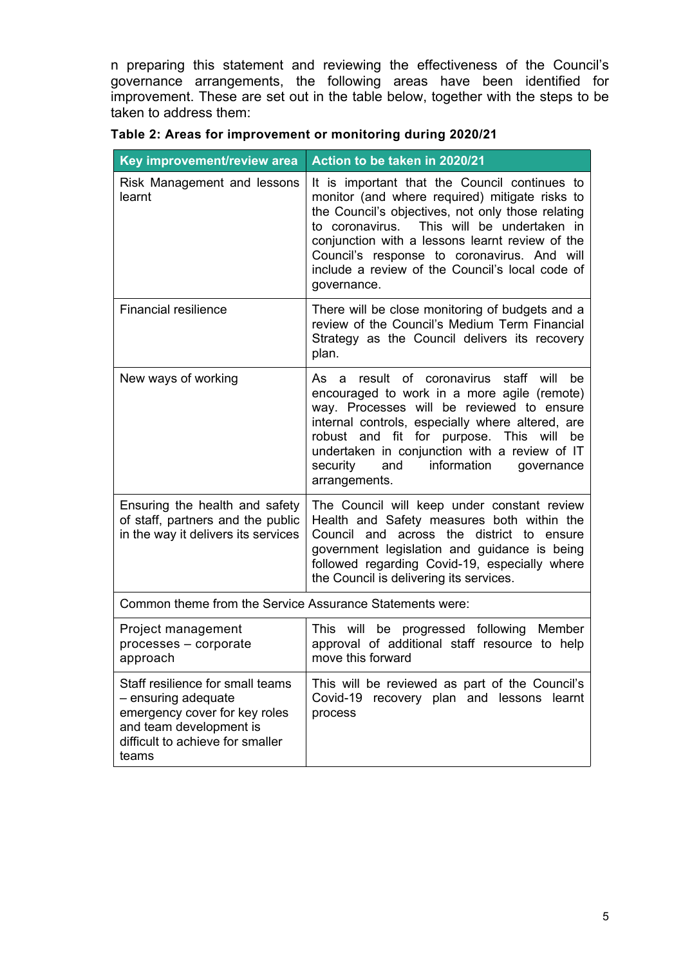n preparing this statement and reviewing the effectiveness of the Council's governance arrangements, the following areas have been identified for improvement. These are set out in the table below, together with the steps to be taken to address them:

| Key improvement/review area                                                                                                                                      | Action to be taken in 2020/21                                                                                                                                                                                                                                                                                                                                          |  |  |
|------------------------------------------------------------------------------------------------------------------------------------------------------------------|------------------------------------------------------------------------------------------------------------------------------------------------------------------------------------------------------------------------------------------------------------------------------------------------------------------------------------------------------------------------|--|--|
| Risk Management and lessons<br>learnt                                                                                                                            | It is important that the Council continues to<br>monitor (and where required) mitigate risks to<br>the Council's objectives, not only those relating<br>to coronavirus. This will be undertaken in<br>conjunction with a lessons learnt review of the<br>Council's response to coronavirus. And will<br>include a review of the Council's local code of<br>governance. |  |  |
| <b>Financial resilience</b>                                                                                                                                      | There will be close monitoring of budgets and a<br>review of the Council's Medium Term Financial<br>Strategy as the Council delivers its recovery<br>plan.                                                                                                                                                                                                             |  |  |
| New ways of working                                                                                                                                              | As a result of coronavirus staff will be<br>encouraged to work in a more agile (remote)<br>way. Processes will be reviewed to ensure<br>internal controls, especially where altered, are<br>robust and fit for purpose. This will be<br>undertaken in conjunction with a review of IT<br>and information<br>security<br>governance<br>arrangements.                    |  |  |
| Ensuring the health and safety<br>of staff, partners and the public<br>in the way it delivers its services                                                       | The Council will keep under constant review<br>Health and Safety measures both within the<br>Council and across the district to<br>ensure<br>government legislation and guidance is being<br>followed regarding Covid-19, especially where<br>the Council is delivering its services.                                                                                  |  |  |
| Common theme from the Service Assurance Statements were:                                                                                                         |                                                                                                                                                                                                                                                                                                                                                                        |  |  |
| Project management<br>processes - corporate<br>approach                                                                                                          | This will be progressed following Member<br>approval of additional staff resource to help<br>move this forward                                                                                                                                                                                                                                                         |  |  |
| Staff resilience for small teams<br>- ensuring adequate<br>emergency cover for key roles<br>and team development is<br>difficult to achieve for smaller<br>teams | This will be reviewed as part of the Council's<br>Covid-19<br>recovery plan and lessons learnt<br>process                                                                                                                                                                                                                                                              |  |  |

**Table 2: Areas for improvement or monitoring during 2020/21**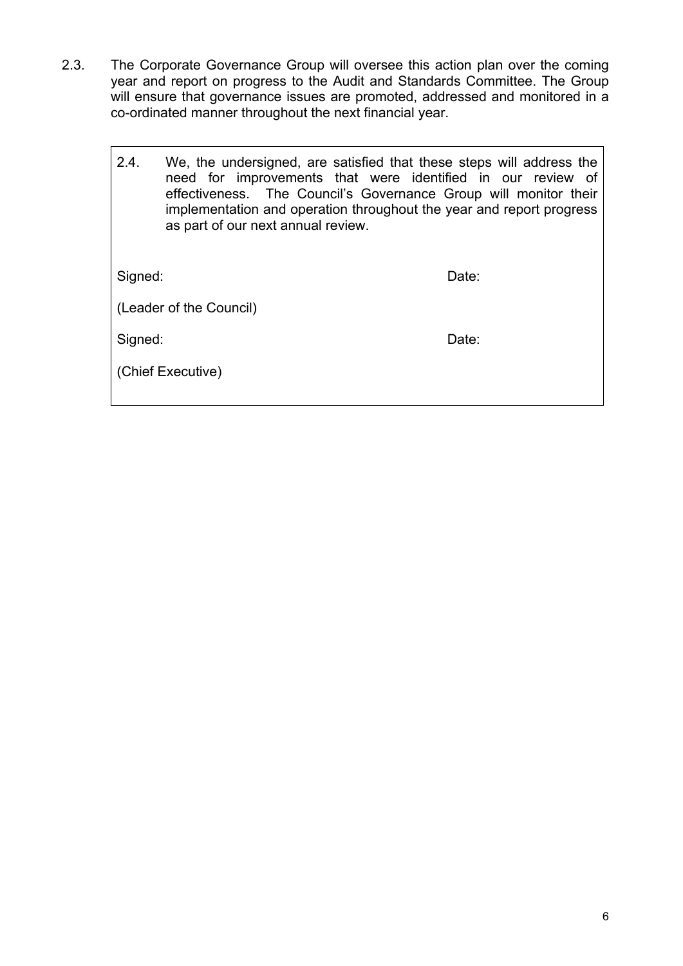2.3. The Corporate Governance Group will oversee this action plan over the coming year and report on progress to the Audit and Standards Committee. The Group will ensure that governance issues are promoted, addressed and monitored in a co-ordinated manner throughout the next financial year.

| 2.4.    | We, the undersigned, are satisfied that these steps will address the<br>need for improvements that were identified in our review of<br>effectiveness. The Council's Governance Group will monitor their<br>implementation and operation throughout the year and report progress<br>as part of our next annual review. |       |
|---------|-----------------------------------------------------------------------------------------------------------------------------------------------------------------------------------------------------------------------------------------------------------------------------------------------------------------------|-------|
| Signed: |                                                                                                                                                                                                                                                                                                                       | Date: |
|         | (Leader of the Council)                                                                                                                                                                                                                                                                                               |       |
| Signed: |                                                                                                                                                                                                                                                                                                                       | Date: |
|         | (Chief Executive)                                                                                                                                                                                                                                                                                                     |       |
|         |                                                                                                                                                                                                                                                                                                                       |       |